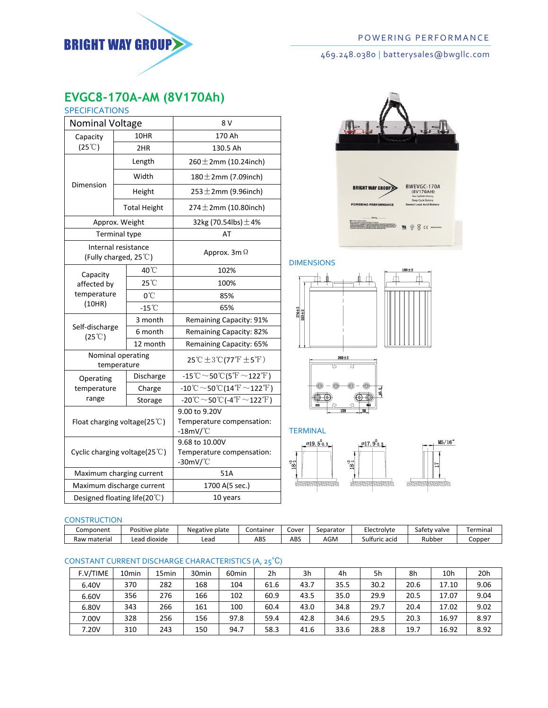

# 469.248.0380 | batterysales@bwgllc.com

# **EVGC8-170A-AM (8V170Ah)**

| <b>SPECIFICATIONS</b>                          |         |                     |                                                                                                   |  |  |  |  |
|------------------------------------------------|---------|---------------------|---------------------------------------------------------------------------------------------------|--|--|--|--|
| <b>Nominal Voltage</b>                         |         |                     | 8 V                                                                                               |  |  |  |  |
| Capacity                                       |         | 10HR                | 170 Ah                                                                                            |  |  |  |  |
| $(25^{\circ}\text{C})$                         | 2HR     |                     | 130.5 Ah                                                                                          |  |  |  |  |
|                                                | Length  |                     | $260 \pm 2$ mm (10.24inch)                                                                        |  |  |  |  |
|                                                | Width   |                     | $180 \pm 2$ mm (7.09inch)                                                                         |  |  |  |  |
| Dimension                                      |         | Height              | $253 \pm 2$ mm (9.96inch)                                                                         |  |  |  |  |
|                                                |         | <b>Total Height</b> | $274 \pm 2$ mm (10.80inch)                                                                        |  |  |  |  |
| Approx. Weight                                 |         |                     | 32kg (70.54lbs) $\pm$ 4%                                                                          |  |  |  |  |
| <b>Terminal type</b>                           |         |                     | AT                                                                                                |  |  |  |  |
| Internal resistance<br>(Fully charged, 25°C)   |         |                     | Approx. 3m $\Omega$                                                                               |  |  |  |  |
| Capacity                                       | 40°C    |                     | 102%                                                                                              |  |  |  |  |
| affected by                                    |         | $25^{\circ}$ C      | 100%                                                                                              |  |  |  |  |
| temperature                                    |         | $0^{\circ}$ C       | 85%                                                                                               |  |  |  |  |
| (10HR)                                         |         | $-15^{\circ}$ C     | 65%                                                                                               |  |  |  |  |
|                                                |         | 3 month             | Remaining Capacity: 91%                                                                           |  |  |  |  |
| Self-discharge<br>$(25^{\circ}C)$              | 6 month |                     | Remaining Capacity: 82%                                                                           |  |  |  |  |
|                                                |         | 12 month            | Remaining Capacity: 65%                                                                           |  |  |  |  |
| Nominal operating<br>temperature               |         |                     | 25 °C ± 3 °C (77 °F ± 5 °F)                                                                       |  |  |  |  |
| Operating                                      |         | Discharge           | $-15^{\circ}\text{C} \sim 50^{\circ}\text{C}(5^{\circ}\text{F} \sim 122^{\circ}\text{F})$         |  |  |  |  |
| temperature                                    |         | Charge              | $-10\degree\text{C}\!\sim\!\!50\degree\text{C}$ (14 $\degree\text{F}\!\sim\!122\degree\text{F}$ ) |  |  |  |  |
| range                                          |         | Storage             | $-20^{\circ}\text{C} \sim 50^{\circ}\text{C}$ (-4 $^{\circ}\text{F} \sim 122^{\circ}\text{F}$ )   |  |  |  |  |
| Float charging voltage(25 $°C$ )               |         |                     | 9.00 to 9.20V<br>Temperature compensation:<br>-18mV/ $^{\circ}$ C                                 |  |  |  |  |
| Cyclic charging voltage $(25^{\circ}\text{C})$ |         |                     | 9.68 to 10.00V<br>Temperature compensation:<br>-30mV/ $^{\circ}$ C                                |  |  |  |  |
| Maximum charging current                       |         |                     | 51A                                                                                               |  |  |  |  |
| Maximum discharge current                      |         |                     | 1700 A(5 sec.)                                                                                    |  |  |  |  |
| Designed floating life(20°C)                   |         |                     | 10 years                                                                                          |  |  |  |  |



## DIMENSIONS



## **TERMINAL**



## **CONSTRUCTION**

| Component         | $\cdots$<br>plate<br>Positive | . .<br><b>Negative</b><br>plate | Container | Cover | separator | Electrolvte   | <sup>,</sup> valve<br>safet | Ferminal |
|-------------------|-------------------------------|---------------------------------|-----------|-------|-----------|---------------|-----------------------------|----------|
| , material<br>Raw | .ead<br>dioxide               | Lead                            | ABS       | ABS   | AGM       | Sulfuric acid | Rubber                      | Copper   |

# CONSTANT CURRENT DISCHARGE CHARACTERISTICS (A, 25℃)

| F.V/TIME | 10min | 15 <sub>min</sub> | 30 <sub>min</sub> | 60 <sub>min</sub> | 2h   | 3h   | 4h   | 5h   | 8h   | 10 <sub>h</sub> | 20 <sub>h</sub> |
|----------|-------|-------------------|-------------------|-------------------|------|------|------|------|------|-----------------|-----------------|
| 6.40V    | 370   | 282               | 168               | 104               | 61.6 | 43.7 | 35.5 | 30.2 | 20.6 | 17.10           | 9.06            |
| 6.60V    | 356   | 276               | 166               | 102               | 60.9 | 43.5 | 35.0 | 29.9 | 20.5 | 17.07           | 9.04            |
| 6.80V    | 343   | 266               | 161               | 100               | 60.4 | 43.0 | 34.8 | 29.7 | 20.4 | 17.02           | 9.02            |
| 7.00V    | 328   | 256               | 156               | 97.8              | 59.4 | 42.8 | 34.6 | 29.5 | 20.3 | 16.97           | 8.97            |
| 7.20V    | 310   | 243               | 150               | 94.7              | 58.3 | 41.6 | 33.6 | 28.8 | 19.7 | 16.92           | 8.92            |